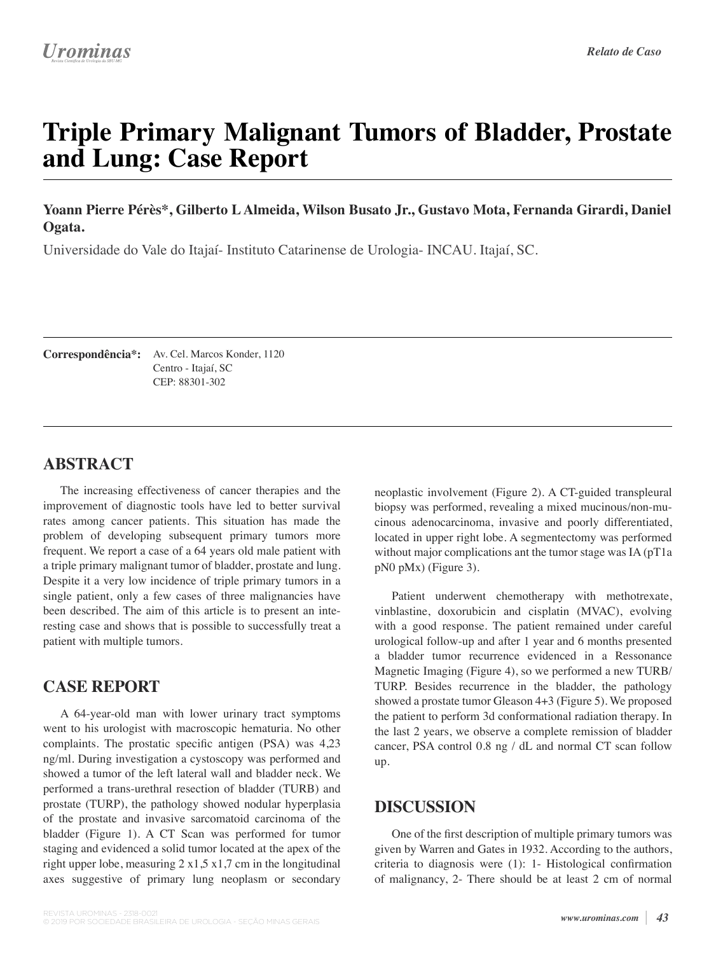# **Triple Primary Malignant Tumors of Bladder, Prostate and Lung: Case Report**

**Yoann Pierre Pérès\*, Gilberto L Almeida, Wilson Busato Jr., Gustavo Mota, Fernanda Girardi, Daniel Ogata.**

Universidade do Vale do Itajaí- Instituto Catarinense de Urologia- INCAU. Itajaí, SC.

Av. Cel. Marcos Konder, 1120 **Correspondência\*:** Centro - Itajaí, SC CEP: 88301-302

## **ABSTRACT**

The increasing effectiveness of cancer therapies and the improvement of diagnostic tools have led to better survival rates among cancer patients. This situation has made the problem of developing subsequent primary tumors more frequent. We report a case of a 64 years old male patient with a triple primary malignant tumor of bladder, prostate and lung. Despite it a very low incidence of triple primary tumors in a single patient, only a few cases of three malignancies have been described. The aim of this article is to present an interesting case and shows that is possible to successfully treat a patient with multiple tumors.

## **CASE REPORT**

A 64-year-old man with lower urinary tract symptoms went to his urologist with macroscopic hematuria. No other complaints. The prostatic specifc antigen (PSA) was 4,23 ng/ml. During investigation a cystoscopy was performed and showed a tumor of the left lateral wall and bladder neck. We performed a trans-urethral resection of bladder (TURB) and prostate (TURP), the pathology showed nodular hyperplasia of the prostate and invasive sarcomatoid carcinoma of the bladder (Figure 1). A CT Scan was performed for tumor staging and evidenced a solid tumor located at the apex of the right upper lobe, measuring  $2 \times 1,5 \times 1,7$  cm in the longitudinal axes suggestive of primary lung neoplasm or secondary

neoplastic involvement (Figure 2). A CT-guided transpleural biopsy was performed, revealing a mixed mucinous/non-mucinous adenocarcinoma, invasive and poorly differentiated, located in upper right lobe. A segmentectomy was performed without major complications ant the tumor stage was IA (pT1a) pN0 pMx) (Figure 3).

Patient underwent chemotherapy with methotrexate, vinblastine, doxorubicin and cisplatin (MVAC), evolving with a good response. The patient remained under careful urological follow-up and after 1 year and 6 months presented a bladder tumor recurrence evidenced in a Ressonance Magnetic Imaging (Figure 4), so we performed a new TURB/ TURP. Besides recurrence in the bladder, the pathology showed a prostate tumor Gleason 4+3 (Figure 5). We proposed the patient to perform 3d conformational radiation therapy. In the last 2 years, we observe a complete remission of bladder cancer, PSA control 0.8 ng / dL and normal CT scan follow up.

## **DISCUSSION**

One of the frst description of multiple primary tumors was given by Warren and Gates in 1932. According to the authors, criteria to diagnosis were (1): 1- Histological confrmation of malignancy, 2- There should be at least 2 cm of normal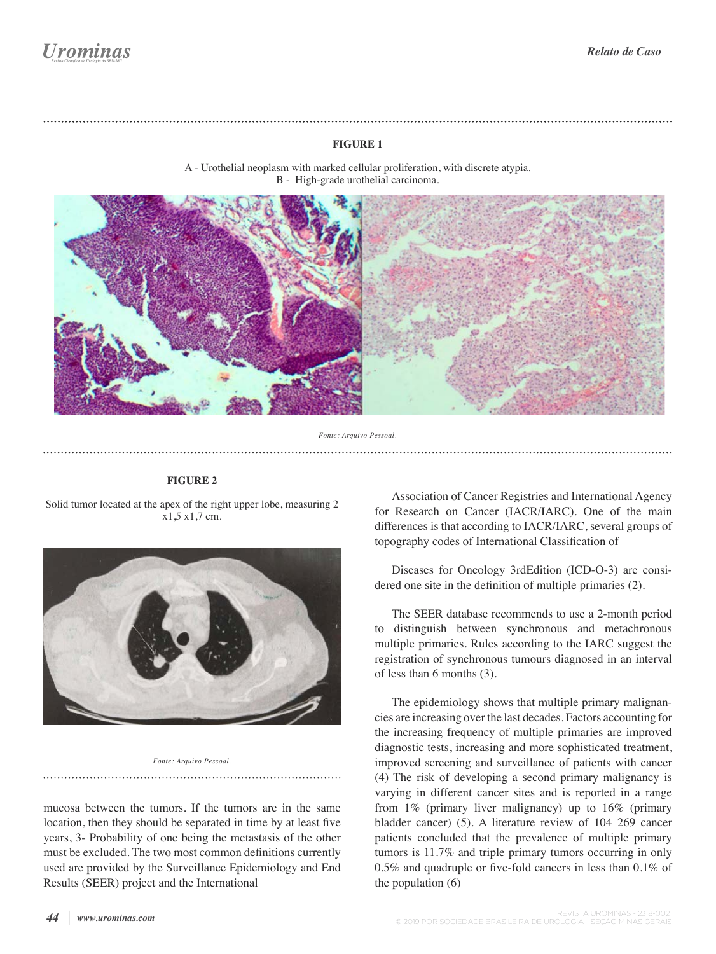### **FIGURE 1**



A - Urothelial neoplasm with marked cellular proliferation, with discrete atypia. B - High-grade urothelial carcinoma.

#### *Fonte: Arquivo Pessoal.*

#### **FIGURE 2**

Solid tumor located at the apex of the right upper lobe, measuring 2 x1,5 x1,7 cm.

![](_page_1_Picture_8.jpeg)

*Fonte: Arquivo Pessoal.*

mucosa between the tumors. If the tumors are in the same location, then they should be separated in time by at least fve years, 3- Probability of one being the metastasis of the other must be excluded. The two most common defnitions currently used are provided by the Surveillance Epidemiology and End Results (SEER) project and the International

Association of Cancer Registries and International Agency for Research on Cancer (IACR/IARC). One of the main differences is that according to IACR/IARC, several groups of topography codes of International Classifcation of

Diseases for Oncology 3rdEdition (ICD-O-3) are considered one site in the defnition of multiple primaries (2).

The SEER database recommends to use a 2-month period to distinguish between synchronous and metachronous multiple primaries. Rules according to the IARC suggest the registration of synchronous tumours diagnosed in an interval of less than 6 months (3).

The epidemiology shows that multiple primary malignancies are increasing over the last decades. Factors accounting for the increasing frequency of multiple primaries are improved diagnostic tests, increasing and more sophisticated treatment, improved screening and surveillance of patients with cancer (4) The risk of developing a second primary malignancy is varying in different cancer sites and is reported in a range from 1% (primary liver malignancy) up to 16% (primary bladder cancer) (5). A literature review of 104 269 cancer patients concluded that the prevalence of multiple primary tumors is 11.7% and triple primary tumors occurring in only 0.5% and quadruple or fve-fold cancers in less than 0.1% of the population (6)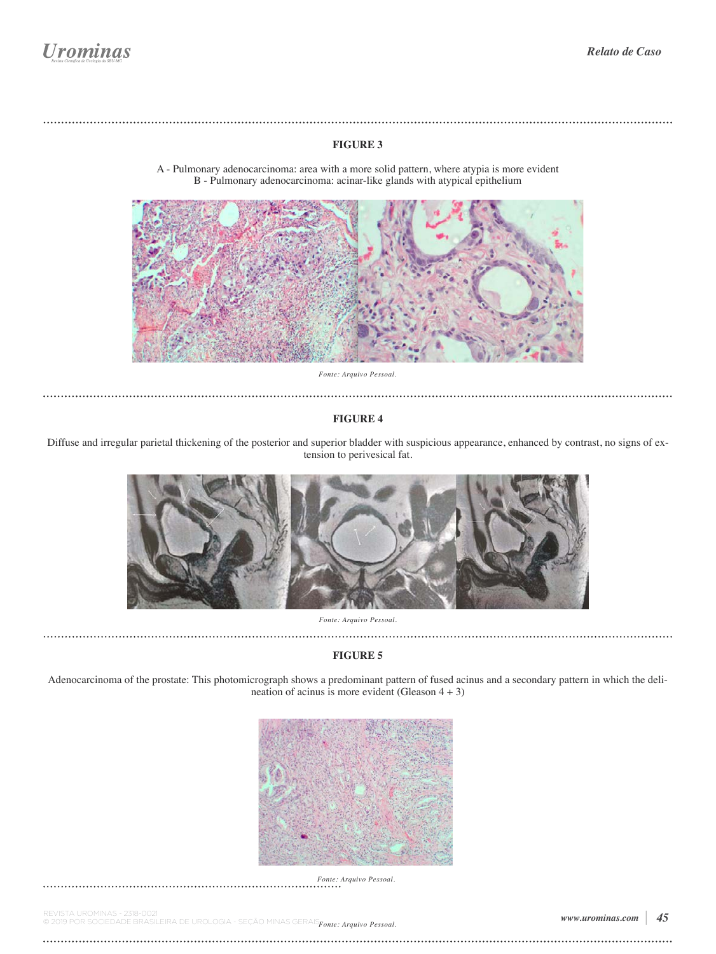#### **FIGURE 3**

![](_page_2_Picture_3.jpeg)

A - Pulmonary adenocarcinoma: area with a more solid pattern, where atypia is more evident B - Pulmonary adenocarcinoma: acinar-like glands with atypical epithelium

*Fonte: Arquivo Pessoal.* 

#### **FIGURE 4**

Diffuse and irregular parietal thickening of the posterior and superior bladder with suspicious appearance, enhanced by contrast, no signs of extension to perivesical fat.

![](_page_2_Picture_8.jpeg)

*Fonte: Arquivo Pessoal.*

#### **FIGURE 5**

Adenocarcinoma of the prostate: This photomicrograph shows a predominant pattern of fused acinus and a secondary pattern in which the delineation of acinus is more evident (Gleason  $4 + 3$ )

![](_page_2_Picture_12.jpeg)

*Fonte: Arquivo Pessoal.*

REVISTA UROMINAS - 2318-0021<br>© 2019 POR SOCIEDADE BRASILEIRA DE UROLOGIA - SEÇÃO MINAS GERAIS $_{\pmb{Fonte:\textit{Arguivo Pessoad.\textbf{}}}$ 

. . . . . . . . . . . . . . . . . . . .